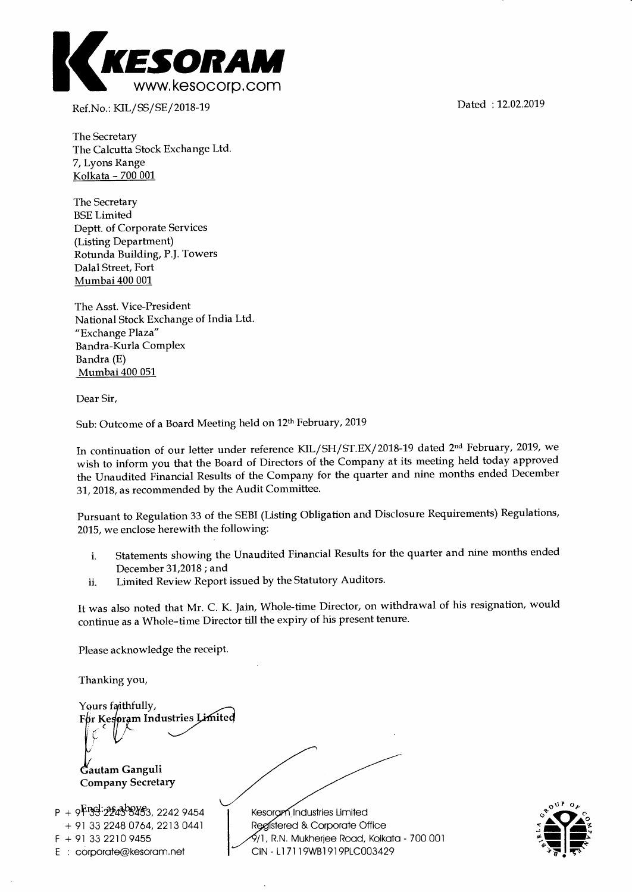

Ref.No.: KIL/SS/SE/2018-19 Dated : 12.02.2019

The Secretary The Calcutta Stock Exchange Ltd. 7, Lyons Range Kolkata - 700 001

The Secretary BSE Limited Deptt. of Corporate Services (Listing Department) Rotunda Building, P.J. Towers Dalal Street, Fort Mumbai 400 001

The Asst. Vice-President National Stock Exchange of India Ltd. "Exchange Plaza" Bandra-Kurla Complex Bandra (E) Mumbai 400 051

Dear Sir,

Sub: Outcome of a Board Meeting held on 12th February, 2019

In continuation of our letter under reference KIL/SH/ST.EX/2018-19 dated 2<sup>nd</sup> February, 2019, we wish to inform you that the Board of Directors of the Company at its meeting held today approved the Unaudited Financial Results of the Company for the quarter and nine months ended December 31, 2018, as recommended by the Audit Committee.

Pursuant to Regulation 33 of the SEBI (Listing Obligation and Disclosure Requirements) Regulations, 2015, we enclose herewith the following:

- i. Statements showing the Unaudited Financial Results for the quarter and nine months ended December 31,2018 ; and
- ii. Limited Review Report issued by the Statutory Auditors.

It was also noted that Mr. C. K. Jain, Whole-time Director, on withdrawal of his resignation, would continue as a Whole-time Director till the expiry of his present tenure.

Please acknowledge the receipt.

Thanking you,

Yours faithfully, For Kesoram Industries Limited **autam Ganguli Company Secretary P** + 9  $\overline{Y}$   $\overline{Y}$   $\overline{Y}$   $\overline{Y}$   $\overline{Y}$   $\overline{Y}$   $\overline{Y}$   $\overline{Y}$   $\overline{Y}$   $\overline{Y}$   $\overline{Y}$   $\overline{Y}$   $\overline{Y}$   $\overline{Y}$   $\overline{Y}$   $\overline{Y}$   $\overline{Y}$   $\overline{Y}$   $\overline{Y}$   $\overline{Y}$   $\overline{Y}$   $\overline{Y}$   $\overline{Y}$   $\overline{Y}$ Kesoram Industries Limited



2213 0441 + 91 33 2248 0764, F + 91 33 2210 9455

E corporate@kesoram.net

Registered & Corporate Office /1, R.N. Mukherjee Road, Kolkata - 700 001 CIN - Ll 7119WB1919PLC003429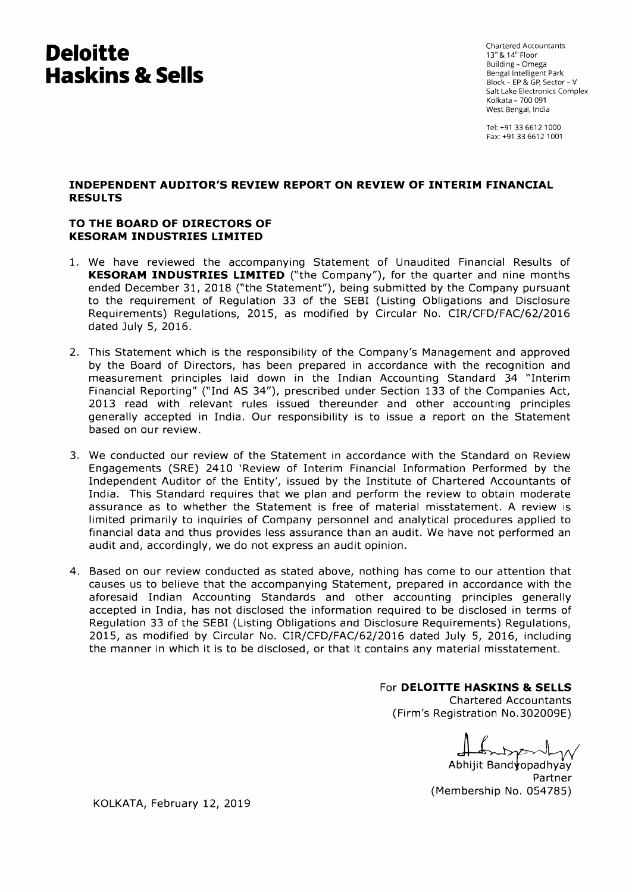# **Deloitte Haskins & Sells**

Chartered Accountants  $13^{\text{th}}$  &  $14^{\text{th}}$  Floor Building - Omega Bengal Intelligent Park Block - EP & GP, Sector - V Salt Lake Electronics Complex Kolkata - 700 091 West Bengal, India

Tel: +91 33 6612 1000 Fax: +91 33 6612 1001

## **INDEPENDENT AUDITOR'S REVIEW REPORT ON REVIEW OF INTERIM FINANCIAL RESULTS**

## **TO THE BOARD OF DIRECTORS OF KESORAM INDUSTRIES LIMITED**

- 1. We have reviewed the accompanying Statement of Unaudited Financial Results of **KESORAM INDUSTRIES LIMITED** ("the Company"), for the quarter and nine months ended December 31, 2018 ("the Statement"), being submitted by the Company pursuant to the requirement of Regulation 33 of the SEBI (Listing Obligations and Disclosure Requirements) Regulations, 2015, as modified by Circular No. CIR/CFD/FAC/62/2016 dated July 5, 2016.
- 2. This Statement which is the responsibility of the Company's Management and approved by the Board of Directors, has been prepared in accordance with the recognition and measurement principles laid down in the Indian Accounting Standard 34 "Interim Financial Reporting" ("Ind AS 34"), prescribed under Section 133 of the Companies Act, 2013 read with relevant rules issued thereunder and other accounting principles generally accepted in India. Our responsibility is to issue a report on the Statement based on our review.
- 3. We conducted our review of the Statement in accordance with the Standard on Review Engagements (SRE) 2410 'Review of Interim Financial Information Performed by the Independent Auditor of the Entity', issued by the Institute of Chartered Accountants of India. This Standard requires that we plan and perform the review to obtain moderate assurance as to whether the Statement is free of material misstatement. A review is limited primarily to inquiries of Company personnel and analytical procedures applied to financial data and thus provides less assurance than an audit. We have not performed an audit and, accordingly, we do not express an audit opinion.
- 4. Based on our review conducted as stated above, nothing has come to our attention that causes us to believe that the accompanying Statement, prepared in accordance with the aforesaid Indian Accounting Standards and other accounting principles generally accepted in India, has not disclosed the information required to be disclosed in terms of Regulation 33 of the SEBI (Listing Obligations and Disclosure Requirements) Regulations, 2015, as modified by Circular No. CIR/CFD/FAC/62/2016 dated July 5, 2016, including the manner in which it is to be disclosed, or that it contains any material misstatement.

## For **DELOITTE HASKINS & SELLS**

Chartered Accountants (Firm's Registration No.302009E)

 $\sim$ 

Abhijit Band opadhyay Partner (Membership No. 054785)

KOLKATA, February 12, 2019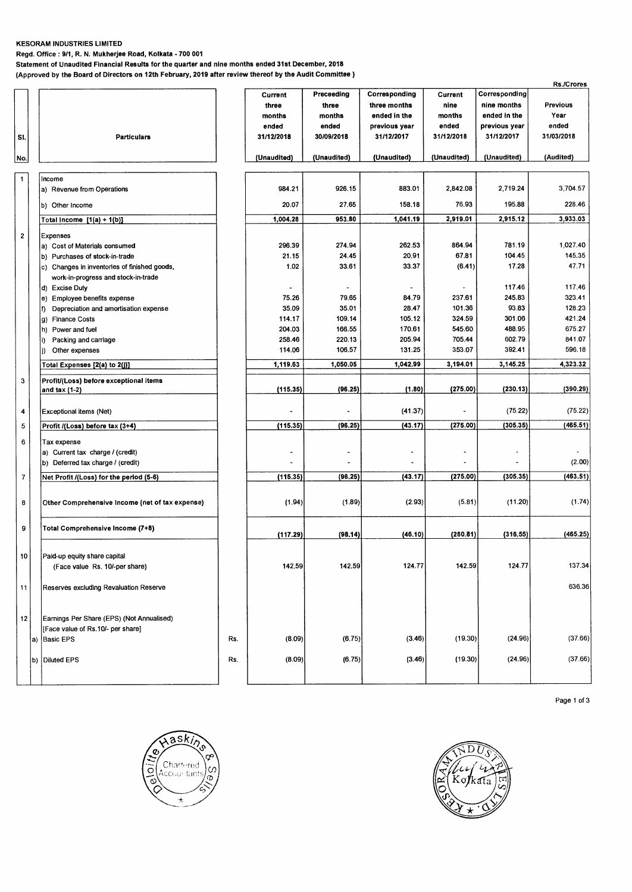#### **KESORAM INDUSTRIES LIMITED**

**Regd. Office : 9/1, R. N. Mukherjee Road, Kolkata - 700 001** 

**Statement of Unaudited Financial Results for the quarter and nine months ended 31st December, 2018** 

**(Approved by the Board of Directors on 12th February, 2019 after review thereof by the Audit Committee )** 

|     |                |                                                 |     |             |                          |                       |                          |               | Rs./Crores |
|-----|----------------|-------------------------------------------------|-----|-------------|--------------------------|-----------------------|--------------------------|---------------|------------|
|     |                |                                                 |     | Current     | Preceeding               | Corresponding         | Current                  | Corresponding |            |
|     |                |                                                 |     | three       | three                    | three months          | nine                     | nine months   | Previous   |
|     |                |                                                 |     | months      | months                   | ended in the          | months                   | ended in the  | Year       |
|     |                |                                                 |     | ended       | ended                    | previous year         | ended                    | previous year | ended      |
| SI. |                | <b>Particulars</b>                              |     | 31/12/2018  | 30/09/2018               | 31/12/2017            | 31/12/2018               | 31/12/2017    | 31/03/2018 |
| No. |                |                                                 |     | (Unaudited) | (Unaudited)              | (Unaudited)           | (Unaudited)              | (Unaudited)   | (Audited)  |
|     | $\mathbf{1}$   |                                                 |     |             |                          |                       |                          |               |            |
|     |                | Income<br>a) Revenue from Operations            |     | 984.21      | 926.15                   | 883.01                | 2,842.08                 | 2,719.24      | 3,704.57   |
|     |                |                                                 |     |             |                          |                       |                          |               |            |
|     |                | b) Other Income                                 |     | 20.07       | 27.65                    | 158.18                | 76.93                    | 195.88        | 228.46     |
|     |                | Total Income $[1(a) + 1(b)]$                    |     | 1,004.28    | 953.80                   | 1,041.19              | 2,919.01                 | 2,915.12      | 3,933.03   |
|     | $\mathbf 2$    | Expenses                                        |     |             |                          |                       |                          |               |            |
|     |                | a) Cost of Materials consumed                   |     | 296.39      | 274.94                   | 262.53                | 864.94                   | 781.19        | 1,027.40   |
|     |                | b) Purchases of stock-in-trade                  |     | 21.15       | 24.45                    | 20.91                 | 67.81                    | 104.45        | 145.35     |
|     |                | c) Changes in inventories of finished goods,    |     | 1.02        | 33.61                    | 33.37                 | (6.41)                   | 17.28         | 47.71      |
|     |                | work-in-progress and stock-in-trade             |     |             |                          |                       |                          |               |            |
|     |                | d) Excise Duty                                  |     |             | $\overline{\phantom{a}}$ | $\blacksquare$        | $\overline{\phantom{a}}$ | 117.46        | 117.46     |
|     |                | e) Employee benefits expense                    |     | 75.26       | 79.65                    | 84.79                 | 237.61                   | 245.83        | 323.41     |
|     |                | Depreciation and amortisation expense<br>f).    |     | 35.09       | 35.01                    | 28.47                 | 101.36                   | 93.83         | 128.23     |
|     |                | g) Finance Costs                                |     | 114.17      | 109.14                   | 105.12                | 324.59                   | 301.06        | 421.24     |
|     |                | Power and fuel<br>h)                            |     | 204.03      | 166.55                   | 170.61                | 545.60                   | 488.95        | 675.27     |
|     |                | Packing and carriage<br>i)                      |     | 258.46      | 220.13                   | 205.94                | 705.44                   | 602.79        | 841.07     |
|     |                | Other expenses<br>j)                            |     | 114.06      | 106.57                   | 131.25                | 353.07                   | 392.41        | 596.18     |
|     |                | Total Expenses [2(a) to 2(j)]                   |     | 1,119.63    | 1,050.05                 | 1,042.99              | 3,194.01                 | 3,145.25      | 4,323.32   |
|     | 3              | Profit/(Loss) before exceptional items          |     |             |                          |                       |                          |               |            |
|     |                | and tax $(1-2)$                                 |     | (115.35)    | (96.25)                  | (1.80)                | (275.00)                 | (230.13)      | (390.29)   |
|     |                |                                                 |     |             |                          |                       |                          |               |            |
|     | 4              | Exceptional items (Net)                         |     |             |                          | (41.37)               |                          | (75.22)       | (75.22)    |
|     | 5              | Profit /(Loss) before tax (3+4)                 |     | (115.35)    | (96.25)                  | (43.17)               | (275.00)                 | (305.35)      | (465.51)   |
|     | 6              | Tax expense                                     |     |             |                          |                       |                          |               |            |
|     |                | a) Current tax charge / (credit)                |     |             |                          | $\tilde{\phantom{a}}$ | ٠                        | ٠             |            |
|     |                | b) Deferred tax charge / (credit)               |     |             |                          |                       |                          |               | (2.00)     |
|     | $\overline{7}$ | Net Profit /(Loss) for the period (5-6)         |     | (115.35)    | (96.25)                  | (43.17)               | (275.00)                 | (305.35)      | (463.51)   |
|     |                |                                                 |     |             |                          |                       |                          |               |            |
|     | 8              | Other Comprehensive Income (net of tax expense) |     | (1.94)      | (1.89)                   | (2.93)                | (5.81)                   | (11.20)       | (1.74)     |
|     | 9              | Total Comprehensive Income (7+8)                |     |             |                          |                       |                          |               |            |
|     |                |                                                 |     | (117.29)    | (98.14)                  | (46.10)               | (280.81)                 | (316.55)      | (465.25)   |
|     |                |                                                 |     |             |                          |                       |                          |               |            |
|     |                | Paid-up equity share capital                    |     |             |                          |                       |                          |               |            |
|     |                | (Face value Rs. 10/-per share)                  |     | 142.59      | 142.59                   | 124.77                | 142.59                   | 124.77        | 137.34     |
|     |                |                                                 |     |             |                          |                       |                          |               | 636.36     |
|     | 11             | Reserves excluding Revaluation Reserve          |     |             |                          |                       |                          |               |            |
|     |                |                                                 |     |             |                          |                       |                          |               |            |
|     | 12             | Earnings Per Share (EPS) (Not Annualised)       |     |             |                          |                       |                          |               |            |
|     |                | [Face value of Rs.10/- per share]               |     |             |                          |                       |                          |               |            |
|     |                | a) Basic EPS                                    | Rs. | (8.09)      | (6.75)                   | (3.46)                | (19.30)                  | (24.96)       | (37.66)    |
|     |                |                                                 |     |             |                          |                       |                          |               |            |
|     |                | b) Diluted EPS                                  | Rs. | (8.09)      | (6.75)                   | (3.46)                | (19.30)                  | (24.96)       | (37.66)    |
|     |                |                                                 |     |             |                          |                       |                          |               |            |
|     |                |                                                 |     |             |                          |                       |                          |               |            |





Page 1 of 3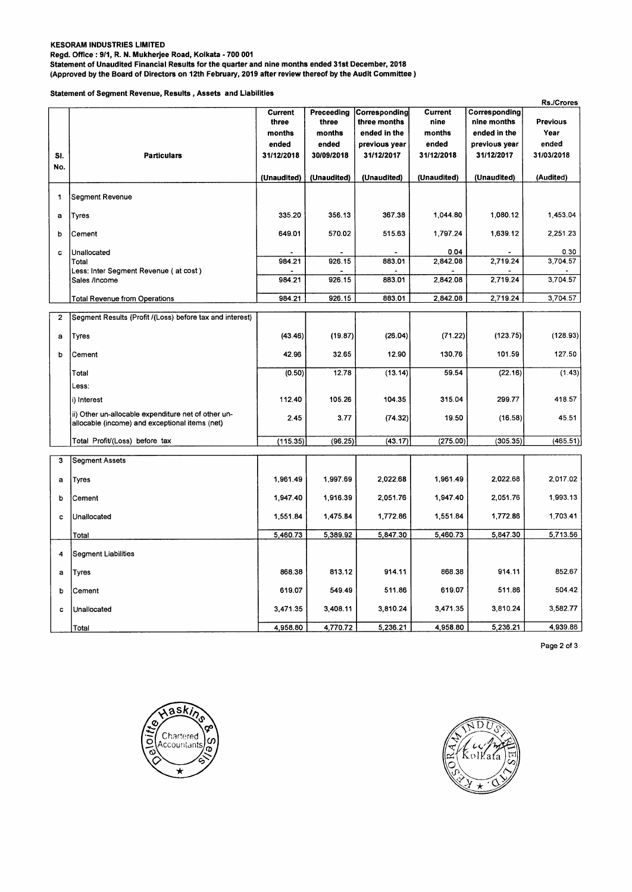## **KESORAM INDUSTRIES LIMITED**

**Regd. Office : 9/1, R. N. Mukherjee Road, Kolkata - 700 001** 

**Statement of Unaudited Financial Results for the quarter and nine months ended 31st December, 2018** 

**(Approved by the Board of Directors on 12th February, 2019 after review thereof by the Audit Committee )** 

**Statement of Segment Revenue, Results , Assets and Liabilities** 

|                |                                                                                                       |                         |                     |                               |                        |                              | <b>Rs./Crores</b> |
|----------------|-------------------------------------------------------------------------------------------------------|-------------------------|---------------------|-------------------------------|------------------------|------------------------------|-------------------|
|                |                                                                                                       | <b>Current</b><br>three | Preceeding<br>three | Corresponding<br>three months | <b>Current</b><br>nine | Corresponding<br>nine months | <b>Previous</b>   |
|                |                                                                                                       | months                  | months              | ended in the                  | months                 | ended in the                 | Year              |
|                |                                                                                                       | ended                   | ended               | previous year                 | ended                  | previous year                | ended             |
| SI.            | <b>Particulars</b>                                                                                    | 31/12/2018              | 30/09/2018          | 31/12/2017                    | 31/12/2018             | 31/12/2017                   | 31/03/2018        |
| No.            |                                                                                                       |                         |                     |                               |                        |                              |                   |
|                |                                                                                                       | (Unaudited)             | (Unaudited)         | (Unaudited)                   | (Unaudited)            | (Unaudited)                  | (Audited)         |
| 1              | Segment Revenue                                                                                       |                         |                     |                               |                        |                              |                   |
| a              | Tyres                                                                                                 | 335.20                  | 356.13              | 367.38                        | 1,044.80               | 1,080.12                     | 1,453.04          |
| b              | Cement                                                                                                | 649.01                  | 570.02              | 515.63                        | 1,797.24               | 1,639.12                     | 2,251.23          |
| c              | Unallocated                                                                                           |                         |                     |                               | 0.04                   |                              | 0.30              |
|                | Total                                                                                                 | 984.21                  | 926.15              | 883.01                        | 2,842.08               | 2,719.24                     | 3,704.57          |
|                | Less: Inter Segment Revenue (at cost)<br>Sales /Income                                                | 984.21                  | 926.15              | 883.01                        | 2,842.08               | 2,719.24                     | 3,704.57          |
|                | <b>Total Revenue from Operations</b>                                                                  | 984.21                  | 926.15              | 883.01                        | 2,842.08               | 2,719.24                     | 3,704.57          |
| $\overline{2}$ | Segment Results (Profit /(Loss) before tax and interest)                                              |                         |                     |                               |                        |                              |                   |
| a              | <b>Tyres</b>                                                                                          | (43.46)                 | (19.87)             | (26.04)                       | (71.22)                | (123.75)                     | (128.93)          |
| b              | Cement                                                                                                | 42.96                   | 32.65               | 12.90                         | 130.76                 | 101.59                       | 127.50            |
|                | Total                                                                                                 | (0.50)                  | 12.78               | (13.14)                       | 59.54                  | (22.16)                      | (1.43)            |
|                | Less:                                                                                                 |                         |                     |                               |                        |                              |                   |
|                | i) Interest                                                                                           | 112.40                  | 105.26              | 104.35                        | 315.04                 | 299.77                       | 418.57            |
|                | ii) Other un-allocable expenditure net of other un-<br>allocable (income) and exceptional items (net) | 2.45                    | 3.77                | (74.32)                       | 19.50                  | (16.58)                      | 45.51             |
|                | Total Profit/(Loss) before tax                                                                        | (115.35)                | (96.25)             | (43.17)                       | (275.00)               | (305.35)                     | (465.51)          |
| 3              | <b>Segment Assets</b>                                                                                 |                         |                     |                               |                        |                              |                   |
| a              | Tyres                                                                                                 | 1,961.49                | 1,997.69            | 2,022.68                      | 1,961.49               | 2,022.68                     | 2,017.02          |
| b              | Cement                                                                                                | 1,947.40                | 1,916.39            | 2,051.76                      | 1,947.40               | 2,051.76                     | 1,993.13          |
| c              | Unallocated                                                                                           | 1,551.84                | 1,475.84            | 1,772.86                      | 1,551.84               | 1,772.86                     | 1,703.41          |
|                | Total                                                                                                 | 5,460.73                | 5,389.92            | 5,847.30                      | 5,460.73               | 5,847.30                     | 5,713.56          |
| 4              | <b>Segment Liabilities</b>                                                                            |                         |                     |                               |                        |                              |                   |
| a              | <b>Tyres</b>                                                                                          | 868.38                  | 813.12              | 914.11                        | 868.38                 | 914.11                       | 852.67            |
| b              | Cement                                                                                                | 619.07                  | 549.49              | 511.86                        | 619.07                 | 511.86                       | 504.42            |
| c              | Unallocated                                                                                           | 3,471.35                | 3,408.11            | 3,810.24                      | 3,471.35               | 3,810.24                     | 3,582.77          |
|                | Total                                                                                                 | 4,958.80                | 4,770.72            | 5,236.21                      | 4,958.80               | 5,236.21                     | 4,939.86          |

Page 2 of 3